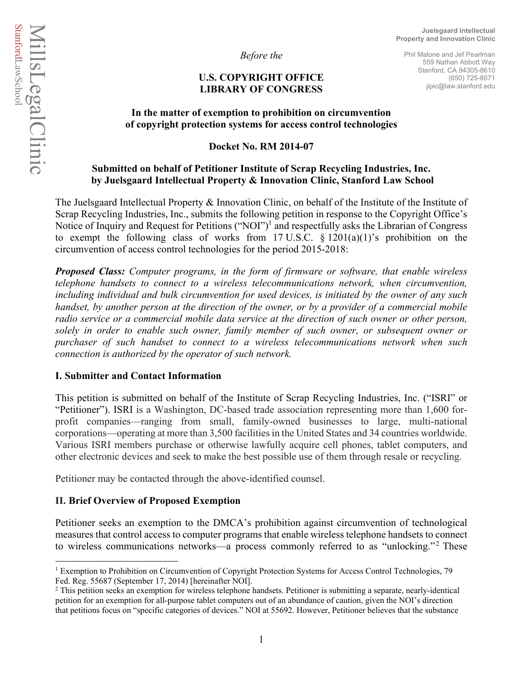*Before the*

## **U.S. COPYRIGHT OFFICE LIBRARY OF CONGRESS**

Phil Malone and Jef Pearlman 559 Nathan Abbott Way Stanford, CA 94305-8610 (650) 725-8571 jipic@law.stanford.edu

## **In the matter of exemption to prohibition on circumvention of copyright protection systems for access control technologies**

**Docket No. RM 2014-07** 

# **Submitted on behalf of Petitioner Institute of Scrap Recycling Industries, Inc. by Juelsgaard Intellectual Property & Innovation Clinic, Stanford Law School**

The Juelsgaard Intellectual Property & Innovation Clinic, on behalf of the Institute of the Institute of Scrap Recycling Industries, Inc., submits the following petition in response to the Copyright Office's Notice of Inquiry and Request for Petitions ("NOI")<sup>1</sup> and respectfully asks the Librarian of Congress to exempt the following class of works from 17 U.S.C.  $\S$  1201(a)(1)'s prohibition on the circumvention of access control technologies for the period 2015-2018:

*Proposed Class: Computer programs, in the form of firmware or software, that enable wireless telephone handsets to connect to a wireless telecommunications network, when circumvention, including individual and bulk circumvention for used devices, is initiated by the owner of any such handset, by another person at the direction of the owner, or by a provider of a commercial mobile radio service or a commercial mobile data service at the direction of such owner or other person, solely in order to enable such owner, family member of such owner, or subsequent owner or purchaser of such handset to connect to a wireless telecommunications network when such connection is authorized by the operator of such network.* 

# **I. Submitter and Contact Information**

This petition is submitted on behalf of the Institute of Scrap Recycling Industries, Inc. ("ISRI" or "Petitioner"). ISRI is a Washington, DC-based trade association representing more than 1,600 forprofit companies—ranging from small, family-owned businesses to large, multi-national corporations—operating at more than 3,500 facilities in the United States and 34 countries worldwide. Various ISRI members purchase or otherwise lawfully acquire cell phones, tablet computers, and other electronic devices and seek to make the best possible use of them through resale or recycling.

Petitioner may be contacted through the above-identified counsel.

# **II. Brief Overview of Proposed Exemption**

Petitioner seeks an exemption to the DMCA's prohibition against circumvention of technological measures that control access to computer programs that enable wireless telephone handsets to connect to wireless communications networks—a process commonly referred to as "unlocking."<sup>2</sup> These

 $\overline{a}$ <sup>1</sup> Exemption to Prohibition on Circumvention of Copyright Protection Systems for Access Control Technologies, 79 Fed. Reg. 55687 (September 17, 2014) [hereinafter NOI].

<sup>&</sup>lt;sup>2</sup> This petition seeks an exemption for wireless telephone handsets. Petitioner is submitting a separate, nearly-identical petition for an exemption for all-purpose tablet computers out of an abundance of caution, given the NOI's direction that petitions focus on "specific categories of devices." NOI at 55692. However, Petitioner believes that the substance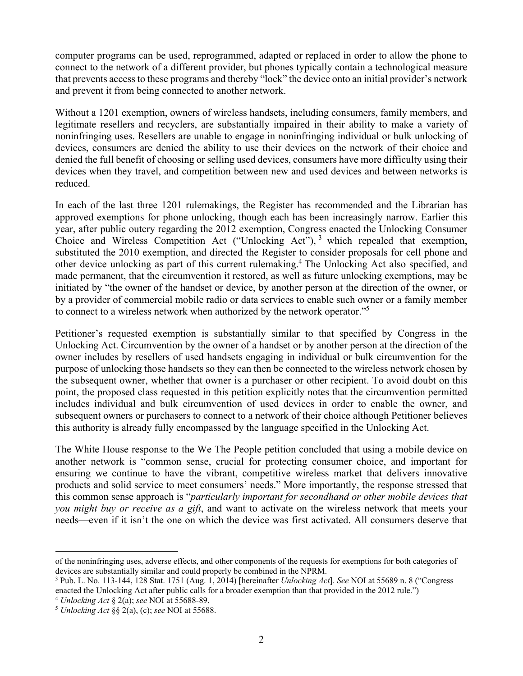computer programs can be used, reprogrammed, adapted or replaced in order to allow the phone to connect to the network of a different provider, but phones typically contain a technological measure that prevents access to these programs and thereby "lock" the device onto an initial provider's network and prevent it from being connected to another network.

Without a 1201 exemption, owners of wireless handsets, including consumers, family members, and legitimate resellers and recyclers, are substantially impaired in their ability to make a variety of noninfringing uses. Resellers are unable to engage in noninfringing individual or bulk unlocking of devices, consumers are denied the ability to use their devices on the network of their choice and denied the full benefit of choosing or selling used devices, consumers have more difficulty using their devices when they travel, and competition between new and used devices and between networks is reduced.

In each of the last three 1201 rulemakings, the Register has recommended and the Librarian has approved exemptions for phone unlocking, though each has been increasingly narrow. Earlier this year, after public outcry regarding the 2012 exemption, Congress enacted the Unlocking Consumer Choice and Wireless Competition Act ("Unlocking Act"),  $3$  which repealed that exemption, substituted the 2010 exemption, and directed the Register to consider proposals for cell phone and other device unlocking as part of this current rulemaking.<sup>4</sup> The Unlocking Act also specified, and made permanent, that the circumvention it restored, as well as future unlocking exemptions, may be initiated by "the owner of the handset or device, by another person at the direction of the owner, or by a provider of commercial mobile radio or data services to enable such owner or a family member to connect to a wireless network when authorized by the network operator."5

Petitioner's requested exemption is substantially similar to that specified by Congress in the Unlocking Act. Circumvention by the owner of a handset or by another person at the direction of the owner includes by resellers of used handsets engaging in individual or bulk circumvention for the purpose of unlocking those handsets so they can then be connected to the wireless network chosen by the subsequent owner, whether that owner is a purchaser or other recipient. To avoid doubt on this point, the proposed class requested in this petition explicitly notes that the circumvention permitted includes individual and bulk circumvention of used devices in order to enable the owner, and subsequent owners or purchasers to connect to a network of their choice although Petitioner believes this authority is already fully encompassed by the language specified in the Unlocking Act.

The White House response to the We The People petition concluded that using a mobile device on another network is "common sense, crucial for protecting consumer choice, and important for ensuring we continue to have the vibrant, competitive wireless market that delivers innovative products and solid service to meet consumers' needs." More importantly, the response stressed that this common sense approach is "*particularly important for secondhand or other mobile devices that you might buy or receive as a gift*, and want to activate on the wireless network that meets your needs—even if it isn't the one on which the device was first activated. All consumers deserve that

 $\overline{a}$ 

of the noninfringing uses, adverse effects, and other components of the requests for exemptions for both categories of devices are substantially similar and could properly be combined in the NPRM.

<sup>3</sup> Pub. L. No. 113-144, 128 Stat. 1751 (Aug. 1, 2014) [hereinafter *Unlocking Act*]. *See* NOI at 55689 n. 8 ("Congress enacted the Unlocking Act after public calls for a broader exemption than that provided in the 2012 rule.")<br>
<sup>4</sup> Unlocking Act § 2(a); see NOI at 55688-89.<br>
<sup>5</sup> Unlocking Act §§ 2(a), (c); see NOI at 55688.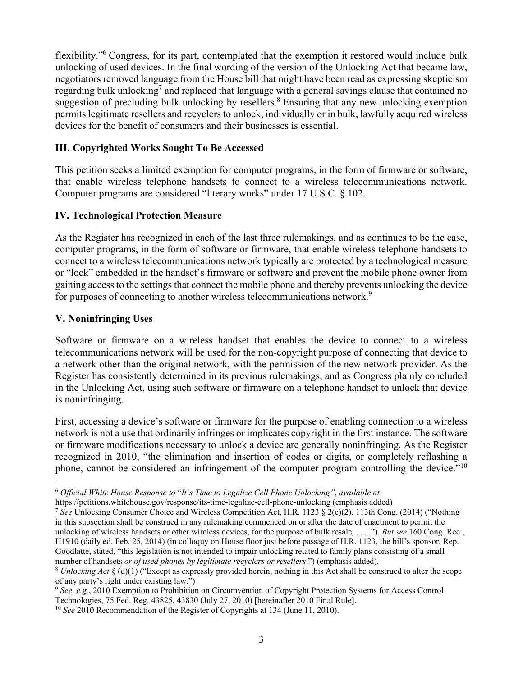flexibility."<sup>6</sup> Congress, for its part, contemplated that the exemption it restored would include bulk unlocking of used devices. In the final wording of the version of the Unlocking Act that became law, negotiators removed language from the House bill that might have been read as expressing skepticism regarding bulk unlocking<sup>7</sup> and replaced that language with a general savings clause that contained no suggestion of precluding bulk unlocking by resellers.<sup>8</sup> Ensuring that any new unlocking exemption permits legitimate resellers and recyclers to unlock, individually or in bulk, lawfully acquired wireless devices for the benefit of consumers and their businesses is essential.

## **III. Copyrighted Works Sought To Be Accessed**

This petition seeks a limited exemption for computer programs, in the form of firmware or software, that enable wireless telephone handsets to connect to a wireless telecommunications network. Computer programs are considered "literary works" under 17 U.S.C. § 102.

### **IV. Technological Protection Measure**

As the Register has recognized in each of the last three rulemakings, and as continues to be the case, computer programs, in the form of software or firmware, that enable wireless telephone handsets to connect to a wireless telecommunications network typically are protected by a technological measure or "lock" embedded in the handset's firmware or software and prevent the mobile phone owner from gaining access to the settings that connect the mobile phone and thereby prevents unlocking the device for purposes of connecting to another wireless telecommunications network.<sup>9</sup>

### **V. Noninfringing Uses**

Software or firmware on a wireless handset that enables the device to connect to a wireless telecommunications network will be used for the non-copyright purpose of connecting that device to a network other than the original network, with the permission of the new network provider. As the Register has consistently determined in its previous rulemakings, and as Congress plainly concluded in the Unlocking Act, using such software or firmware on a telephone handset to unlock that device is noninfringing.

First, accessing a device's software or firmware for the purpose of enabling connection to a wireless network is not a use that ordinarily infringes or implicates copyright in the first instance. The software or firmware modifications necessary to unlock a device are generally noninfringing. As the Register recognized in 2010, "the elimination and insertion of codes or digits, or completely reflashing a phone, cannot be considered an infringement of the computer program controlling the device."<sup>10</sup>

https://petitions.whitehouse.gov/response/its-time-legalize-cell-phone-unlocking (emphasis added)<br><sup>7</sup> *See* Unlocking Consumer Choice and Wireless Competition Act, H.R. 1123 § 2(c)(2), 113th Cong. (2014) ("Nothing in this subsection shall be construed in any rulemaking commenced on or after the date of enactment to permit the unlocking of wireless handsets or other wireless devices, for the purpose of bulk resale, . . . ."). *But see* 160 Cong. Rec., H1910 (daily ed. Feb. 25, 2014) (in colloquy on House floor just before passage of H.R. 1123, the bill's sponsor, Rep. Goodlatte, stated, "this legislation is not intended to impair unlocking related to family plans consisting of a small number of handsets *or of used phones by legitimate recyclers or resellers*.") (emphasis added).

 $\overline{a}$ <sup>6</sup> *Official White House Response to* "*It's Time to Legalize Cell Phone Unlocking"*, *available at*

<sup>8</sup> *Unlocking Act* § (d)(1) ("Except as expressly provided herein, nothing in this Act shall be construed to alter the scope of any party's right under existing law.")

<sup>9</sup> *See, e.g.*, 2010 Exemption to Prohibition on Circumvention of Copyright Protection Systems for Access Control Technologies, 75 Fed. Reg. 43825, 43830 (July 27, 2010) [hereinafter 2010 Final Rule].

<sup>10</sup> *See* 2010 Recommendation of the Register of Copyrights at 134 (June 11, 2010).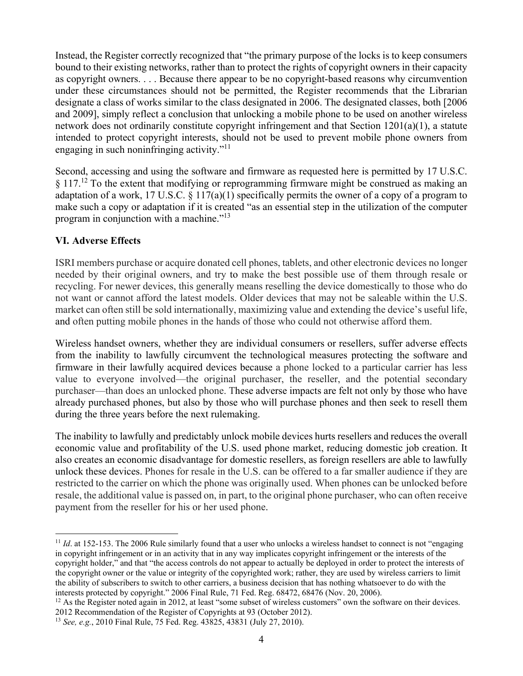Instead, the Register correctly recognized that "the primary purpose of the locks is to keep consumers bound to their existing networks, rather than to protect the rights of copyright owners in their capacity as copyright owners. . . . Because there appear to be no copyright-based reasons why circumvention under these circumstances should not be permitted, the Register recommends that the Librarian designate a class of works similar to the class designated in 2006. The designated classes, both [2006 and 2009], simply reflect a conclusion that unlocking a mobile phone to be used on another wireless network does not ordinarily constitute copyright infringement and that Section 1201(a)(1), a statute intended to protect copyright interests, should not be used to prevent mobile phone owners from engaging in such noninfringing activity."<sup>11</sup>

Second, accessing and using the software and firmware as requested here is permitted by 17 U.S.C.  $\S 117<sup>12</sup>$  To the extent that modifying or reprogramming firmware might be construed as making an adaptation of a work, 17 U.S.C.  $\S 117(a)(1)$  specifically permits the owner of a copy of a program to make such a copy or adaptation if it is created "as an essential step in the utilization of the computer program in conjunction with a machine."13

# **VI. Adverse Effects**

 $\overline{a}$ 

ISRI members purchase or acquire donated cell phones, tablets, and other electronic devices no longer needed by their original owners, and try to make the best possible use of them through resale or recycling. For newer devices, this generally means reselling the device domestically to those who do not want or cannot afford the latest models. Older devices that may not be saleable within the U.S. market can often still be sold internationally, maximizing value and extending the device's useful life, and often putting mobile phones in the hands of those who could not otherwise afford them.

Wireless handset owners, whether they are individual consumers or resellers, suffer adverse effects from the inability to lawfully circumvent the technological measures protecting the software and firmware in their lawfully acquired devices because a phone locked to a particular carrier has less value to everyone involved—the original purchaser, the reseller, and the potential secondary purchaser—than does an unlocked phone. These adverse impacts are felt not only by those who have already purchased phones, but also by those who will purchase phones and then seek to resell them during the three years before the next rulemaking.

The inability to lawfully and predictably unlock mobile devices hurts resellers and reduces the overall economic value and profitability of the U.S. used phone market, reducing domestic job creation. It also creates an economic disadvantage for domestic resellers, as foreign resellers are able to lawfully unlock these devices. Phones for resale in the U.S. can be offered to a far smaller audience if they are restricted to the carrier on which the phone was originally used. When phones can be unlocked before resale, the additional value is passed on, in part, to the original phone purchaser, who can often receive payment from the reseller for his or her used phone.

interests protected by copyright." 2006 Final Rule, 71 Fed. Reg. 68472, 68476 (Nov. 20, 2006).<br><sup>12</sup> As the Register noted again in 2012, at least "some subset of wireless customers" own the software on their devices. 2012 Recommendation of the Register of Copyrights at 93 (October 2012).

<sup>&</sup>lt;sup>11</sup> *Id.* at 152-153. The 2006 Rule similarly found that a user who unlocks a wireless handset to connect is not "engaging" in copyright infringement or in an activity that in any way implicates copyright infringement or the interests of the copyright holder," and that "the access controls do not appear to actually be deployed in order to protect the interests of the copyright owner or the value or integrity of the copyrighted work; rather, they are used by wireless carriers to limit the ability of subscribers to switch to other carriers, a business decision that has nothing whatsoever to do with the

<sup>13</sup> *See, e.g.*, 2010 Final Rule, 75 Fed. Reg. 43825, 43831 (July 27, 2010).